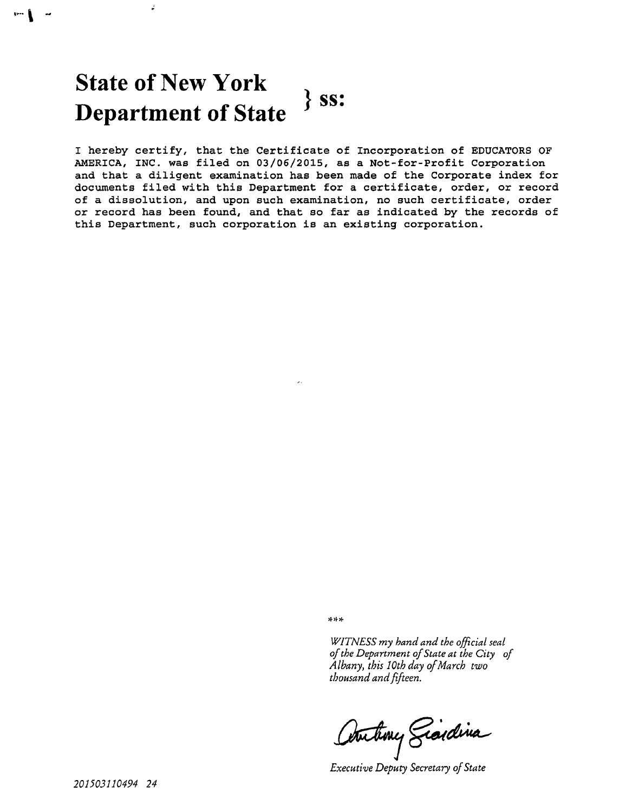# **State of New York Department of State**  $\left.\frac{1}{2}$  ss:

é.

**-**

I hereby certify, that the Certificate of Incorporation of EDUCATORS OF AMERICA, INC. was filed on 03/06/2015, as a Not-for-Profit Corporation and that a diligent examination has been made of the Corporate index for documents filed with this Department for a certificate, order, or record of a dissolution, and upon such examination, no such certificate, order or record has been found, and that so far as indicated by the records of this Department, such corporation is an existing corporation.

\* \* \*

*WITNESS my hand and the official seal of the Department of State at the City of Albany, this 10th day of March two thousand and fifteen.*

Autory Giordina

*Executive Deputy Secretary of State*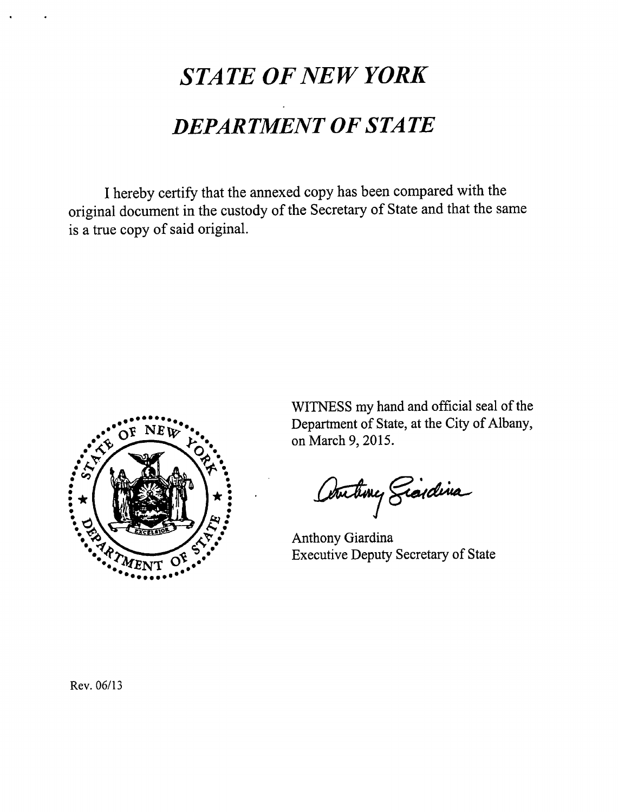# *STATE OF NEW YORK DEPAR TMENT OF STA TE*

I hereby certify that the annexed copy has been compared with the original document in the custody of the Secretary of State and that the same is a true copy of said original.



WITNESS my hand and official seal of the Department of State, at the City of Albany, on March 9, 2015.

Autory Sicilina

Anthony Giardina Executive Deputy Secretary of State

Rev. 06/13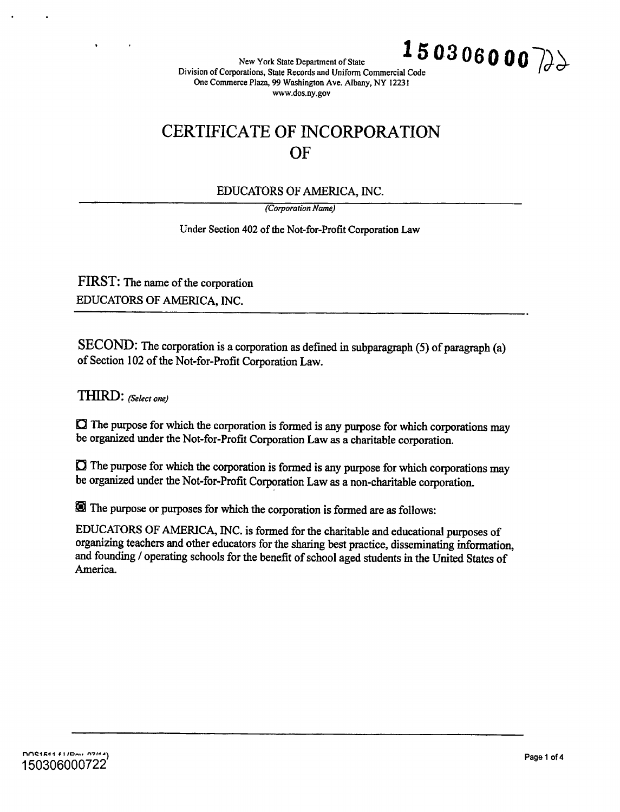New York State Department of State  $\left[150306000\right]$ 

**Division of Corporations, State Records** and **Uniform Commercial Code** One **Commerce Plaza, 99 Washington Ave. Albany, NY 12231 www.dos.ny.gov**

# **CERTIFICATE OF INCORPORATION OF**

#### EDUCATORS OF AMERICA, INC.

**(Corporation Name)**

Under Section 402 of the Not-for-Profit Corporation Law

FIRST: The name of the corporation EDUCATORS OF AMERICA, INC.

SECOND: The corporation is a corporation as defined in subparagraph (5) of paragraph (a) of Section 102 of the Not-for-Profit Corporation Law.

THIRD: *(Select one)* 

 $\Box$  The purpose for which the corporation is formed is any purpose for which corporations may be organized under the Not-for-Profit Corporation Law as a charitable corporation.

 $\Box$  The purpose for which the corporation is formed is any purpose for which corporations may be organized under the Not-for-Profit Corporation Law as a non-charitable corporation.

® The purpose or purposes for which the corporation is formed are as follows:

EDUCATORS OF AMERICA, INC. is formed for the charitable and educational purposes of organizing teachers and other educators for the sharing best practice, disseminating information, and founding / operating schools for the benefit of school aged students in the United States of America.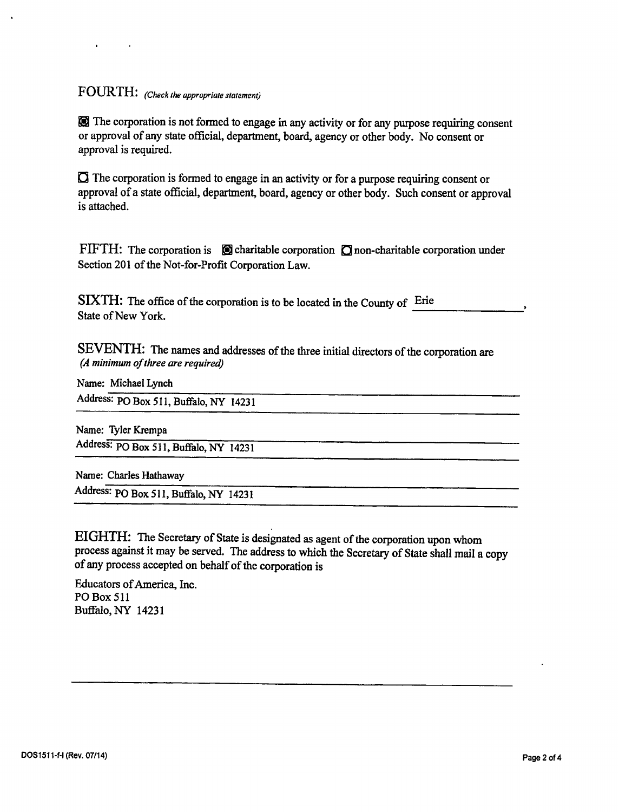## FO1JRTH: *(Check the appropriate statement)*

® The corporation is not formed to engage in any activity or for any purpose requiring consent or approval of any state official, department, board, agency or other body. No consent or approval is required.

 $\Box$  The corporation is formed to engage in an activity or for a purpose requiring consent or approval of a state official, department, board, agency or other body. Such consent or approval is attached.

FIFTH: The corporation is  $\Box$  charitable corporation  $\Box$  non-charitable corporation under Section 201 of the Not-for-Profit Corporation Law.

SIXTH: The office of the corporation is to be located in the County of Erie State of New York.

SEVENTH: The names and addresses of the three initial directors of the corporation are *(A minimum of three are required)*

Name: Michael Lynch

Address: P0 Box 511, Buffalo, NY 14231

Name: Tyler Krempa Address: P0 **Box** 511, Buffalo, NY 14231

Name: Charles Hathaway

Address: P0 Box 511, Buffalo, NY 14231

EIGHTH: The Secretary of State is designated as agent of the corporation upon whom process against it may be served. The address to which the Secretary of State shall mail a copy of any process accepted on behalf of the corporation is

Educators of America, Inc. P0 Box 511 Buffalo, NY 14231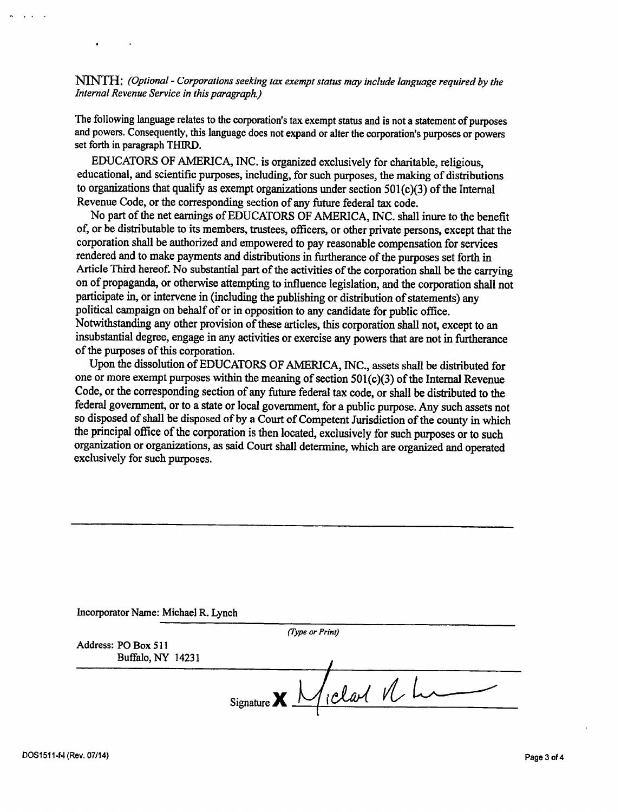NINTH: *(Optional - Corporations seeking lax exempt status may include language required by the Internal Revenue Service in this paragraph)*

The following language relates to the corporation's tax exempt status and is not a statement of purposes and powers. Consequently, this language does not expand or alter the corporation's purposes or powers set forth in paragraph THIRD.

EDUCATORS OF AMERICA. INC. is organized exclusively for charitable, religious, educational, and scientific purposes, including, for such purposes, the making of distributions to organizations that qualify as exempt organizations under section  $501(c)(3)$  of the Internal Revenue Code, or the corresponding section of any future federal tax code.

No part of the net earnings of EDUCATORS OF AMERICA, INC. shall inure to the benefit of, or be distributable to its members, trustees, officers, or other private persons, except that the corporation shall be authorized and empowered to pay reasonable compensation for services rendered and to make payments and distributions in furtherance of the purposes set forth in Article Third hereof. No substantial part of the activities of the corporation shall be the carrying on of propaganda, or otherwise attempting to influence legislation, and the corporation shall not participate in, or intervene in (including the publishing or distribution of statements) any political campaign on behalf of or in opposition to any candidate for public office. Notwithstanding any other provision of these articles, this corporation shall not, except to an insubstantial degree, engage in any activities or exercise any powers that are not in furtherance of the purposes of this corporation.

Upon the dissolution of EDUCATORS OF AMERICA, INC., assets shall be distributed for one or more exempt purposes within the meaning of section 501(c)(3) of the Internal Revenue Code, or the corresponding section of any future federal tax code, or shall be distributed to the federal government, or to a state or local government, for a public purpose. Any such assets not so disposed of shall be disposed of by a Court of Competent Jurisdiction of the county in which the principal office of the corporation is then located, exclusively for such purposes or to such organization or organizations, as said Court shall determine, which are organized and operated exclusively for such purposes.

|                     | (Type or Print)                                                                   |
|---------------------|-----------------------------------------------------------------------------------|
| Address: PO Box 511 |                                                                                   |
| Buffalo, NY 14231   |                                                                                   |
|                     |                                                                                   |
|                     | $Signature$ $\chi$ $\frac{1}{2}$ $\chi$ $\frac{1}{2}$ $\chi$ $\frac{1}{2}$ $\chi$ |